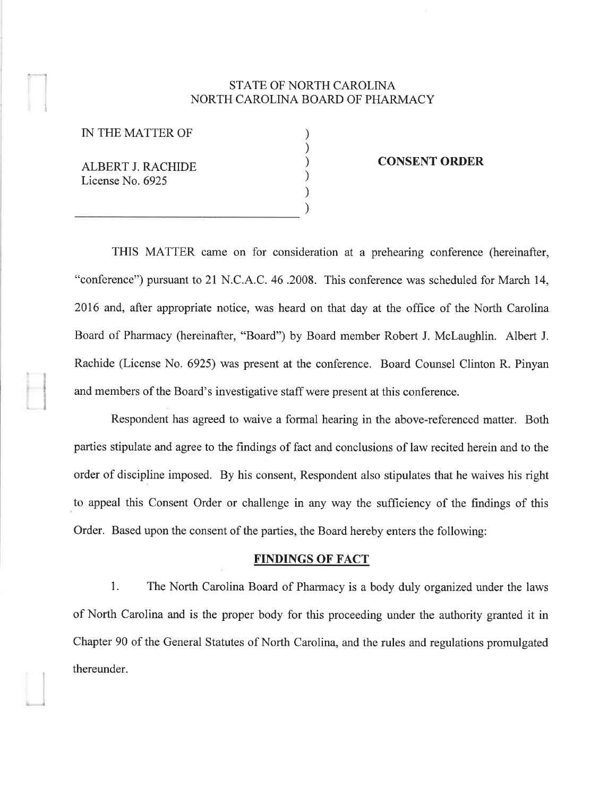## STATE OF NORTH CAROLINA NORTH CAROLINA BOARD OF PHARMACY

) ) ) ) ) )

IN THE MATTER OF

ALBERT J. RACHIDE License No. 6925

\_¡

#### CONSENT ORDER

THIS MATTER came on for consideration at a prehearing conference (hereinafter, "conference") pursuant to 21 N.C.A.C. 46 .2008. This conference was scheduled for March 14, 20T6 and, after appropriate notice, was heard on that day at the office of the North Carolina Board of Pharmacy (hereinafter, "Board") by Board member Robert J. Mclaughlin. Albert J. Rachide (License No. 6925) was present at the conference. Board Counsel Clinton R. Pinyan and members of the Board's investigative staff were present at this conference.

Respondent has agreed to waive a formal hearing in the above-referenced matter. Both parties stipulate and agree to the fìndings of fact and conclusions of law recited herein and to the order of discipline imposed. By his consent, Respondent also stipulates that he waives his right to appeal this Consent Order or challenge in any way the sufficiency of the findings of this Order. Based upon the consent of the parties, the Board hereby enters the following:

### FINDINGS OF FACT

1. The North Carolina Board of Pharmacy is a body duly organized under the laws of North Carolina and is the proper body for this proceeding under the authority granted it in Chapter 90 of the General Statutes of North Carolina, and the rules and regulations promulgated thereunder.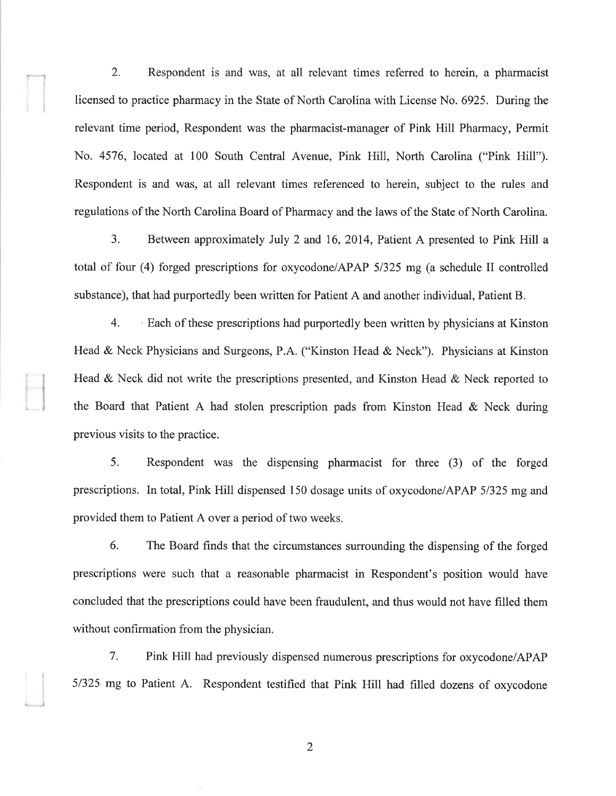2. Respondent is and was, at all relevant times referred to herein, a pharmacist licensed to practice pharmacy in the State of North Carolina with License No. 6925. During the relevant time period, Respondent was the pharmacist-manager of Pink Hill Pharmacy, Permit No. 4576, located at 100 South Central Avenue, Pink Hill, North Carolina ("Pink Hill"). Respondent is and was, at all relevant times referenced to herein, subject to the rules and regulations of the North Carolina Board of Pharmacy and the laws of the State of North Carolina.

I

-. ..,l

3. Between approximately July 2 and 16,2014, Patient A presented to Pink Hill <sup>a</sup> total of four (4) forged prescriptions for oxycodone/APAP 51325 mg (a schedule II controlled substance), that had purportedly been written for Patient A and another individual, Patient B.

4. Each of these prescriptions had purportedly been written by physicians at Kinston Head & Neck Physicians and Surgeons, P.A. ("Kinston Head & Neck"). Physicians at Kinston Head & Neck did not write the prescriptions presented, and Kinston Head & Neck reported to the Board that Patient A had stolen prescription pads from Kinston Head & Neck during previous visits to the practice.

5. Respondent was the dispensing pharmacist for three (3) of the forged prescriptions. In total, Pink Hill dispensed 150 dosage units of oxycodone/APAP 5/325 mg and provided them to Patient A over a period of two weeks.

6. The Board finds that the circumstances surrounding the dispensing of the forged prescriptions were such that a reasonable pharmacist in Respondent's position would have concluded that the prescriptions could have been fraudulent, and thus would not have filled them without confirmation from the physician.

7, Pink Hill had previously dispensed numerous prescriptions for oxycodone/APAP 5/325 mg to Patient A. Respondent testified that Pink Hill had filled dozens of oxycodone

2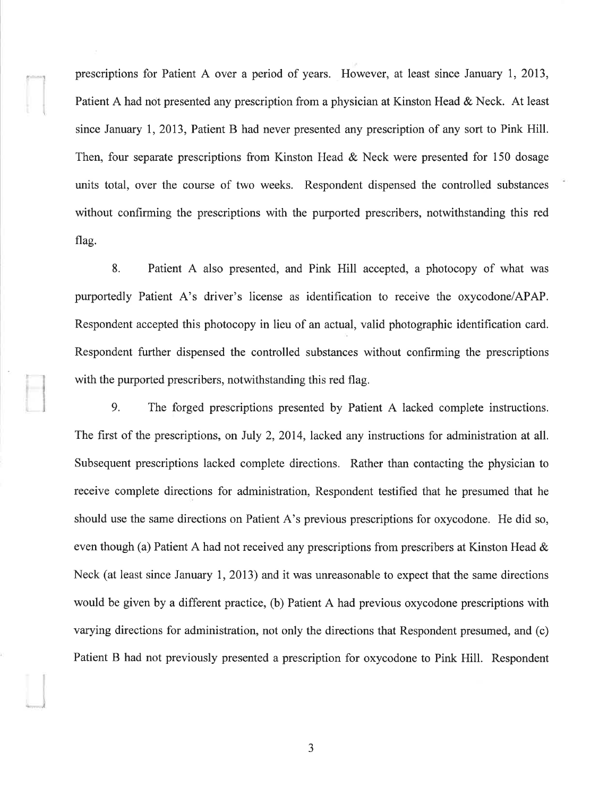prescriptions for Patient A over a period of years. However, at least since January 1,2013, Patient A had not presented any prescription from a physician at Kinston Head & Neck. At least since January I,2013, Patient B had never presented any prescription of any sort to Pink Hill. Then, four separate prescriptions from Kinston Head & Neck were presented for 150 dosage units total, over the course of two weeks. Respondent dispensed the controlled substances without confirming the prescriptions with the purported prescribers, notwithstanding this red flag.

r- <sup>J</sup>

L., -.¡

8. Patient A also presented, and Pink Hill accepted, a photocopy of what was purportedly Patient A's driver's license as identification to receive the oxycodone/APAP. Respondent accepted this photocopy in lieu of an actual, valid photographic identification card. Respondent further dispensed the controlled substances without confirming the prescriptions with the purported prescribers, notwithstanding this red flag.

9. The forged prescriptions presented by Patient A lacked complete instructions. The first of the prescriptions, on July 2, 2014, lacked any instructions for administration at all. Subsequent prescriptions lacked complete directions. Rather than contacting the physician to receive complete directions for administration, Respondent testified that he presumed that he should use the same directions on Patient A's previous prescriptions for oxycodone. He did so, even though (a) Patient A had not received any prescriptions from prescribers at Kinston Head  $\&$ Neck (at least since January 1, 2013) and it was unreasonable to expect that the same directions would be given by a different practice, (b) Patient A had previous oxycodone prescriptions with varying directions for administration, not only the directions that Respondent presumed, and (c) Patient B had not previously presented a prescription for oxycodone to Pink Hill. Respondent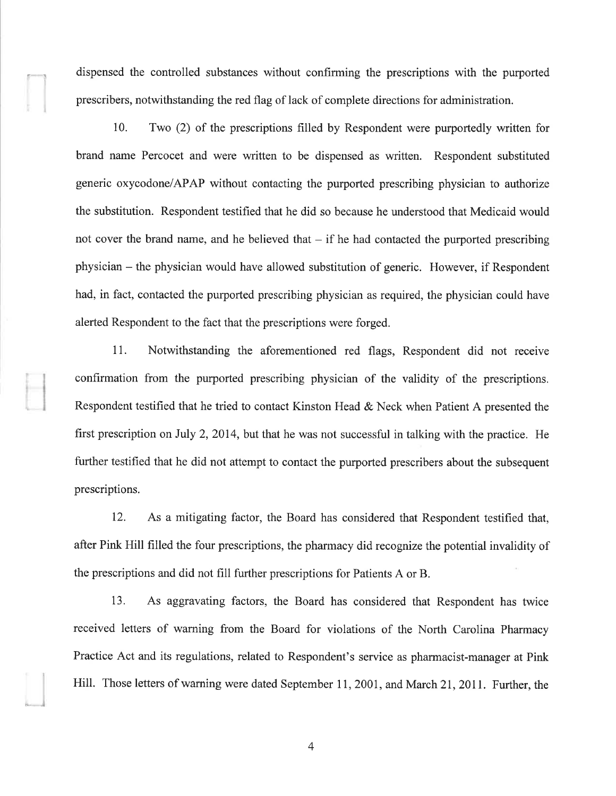dispensed the controlled substances without confirming the prescriptions with the purported prescribers, notwithstanding the red flag of lack of complete directions for administration.

10. Two (2) of the prescriptions filled by Respondent were purportedly written for brand name Percocet and were written to be dispensed as written. Respondent substituted generic oxycodone/APAP without contacting the purported prescribing physician to authorize the substitution. Respondent testified that he did so because he understood that Medicaid would not cover the brand name, and he believed that  $-$  if he had contacted the purported prescribing physician - the physician would have allowed substitution of generic. However, if Respondent had, in fact, contacted the purported prescribing physician as required, the physician could have alerted Respondent to the fact that the prescriptions were forged.

11. Notwithstanding the aforementioned red flags, Respondent did not receive confirmation from the purported prescribing physician of the validity of the prescriptions. Respondent testified that he tried to contact Kinston Head & Neck when Patient A presented the first prescription on July 2,2014, but that he was not successful in talking with the practice. He further testified that he did not attempt to contact the purported prescribers about the subsequent prescriptions.

12. As a mitigating factor, the Board has considered that Respondent testified that, after Pink Hill filled the four prescriptions, the pharmacy did recognize the potential invalidity of the prescriptions and did not fill further prescriptions for Patients A or B.

13. As aggravating factors, the Board has considered that Respondent has twice received letters of warning from the Board for violations of the North Carolina Pharmacy Practice Act and its regulations, related to Respondent's service as pharmacist-manager at Pink Hill. Those letters of warning were dated September 11,2001, and March 21,2011. Further, the

4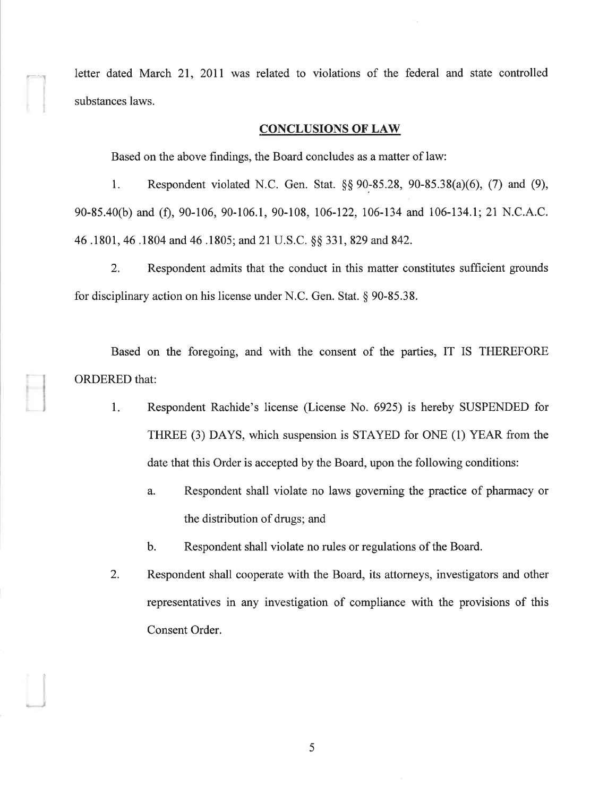letter dated March 21, 2011 was related to violations of the federal and state controlled substances laws.

#### CONCLUSIONS OF LAW

Based on the above findings, the Board concludes as a matter of law:

 $\begin{bmatrix} 1 & 1 \ 1 & 1 \end{bmatrix}$ 

)

1. Respondent violated N.C. Gen. Stat. \$\$ 90-85.28, 90-85.38(a)(6), (7) and (9), 90-85.40(b) and (f), 90-106, 90-106.1, 90-108, 106-122, 106-134 and 106-134.1; 21 N.C.A.C. 46.1801, 46.1804 and 46.1805; and 21 U.S.C. §§ 331, 829 and 842.

2. Respondent admits that the conduct in this matter constitutes sufficient grounds for disciplinary action on his license under N.C. Gen. Stat. \$ 90-85.38.

Based on the foregoing, and with the consent of the parties, IT IS THEREFORE ORDERED that:

- 1. Respondent Rachide's license (License No. 6925) is hereby SUSPENDED for THREE (3) DAYS, which suspension is STAYED for ONE (1) YEAR from the date that this Order is accepted by the Board, upon the following conditions:
	- a. Respondent shall violate no laws governing the practice of pharmacy or the distribution of drugs; and
	- b. Respondent shall violate no rules or regulations of the Board.
- Respondent shall cooperate with the Board, its attorneys, investigators and other representatives in any investigation of compliance with the provisions of this Consent Order. 2.

5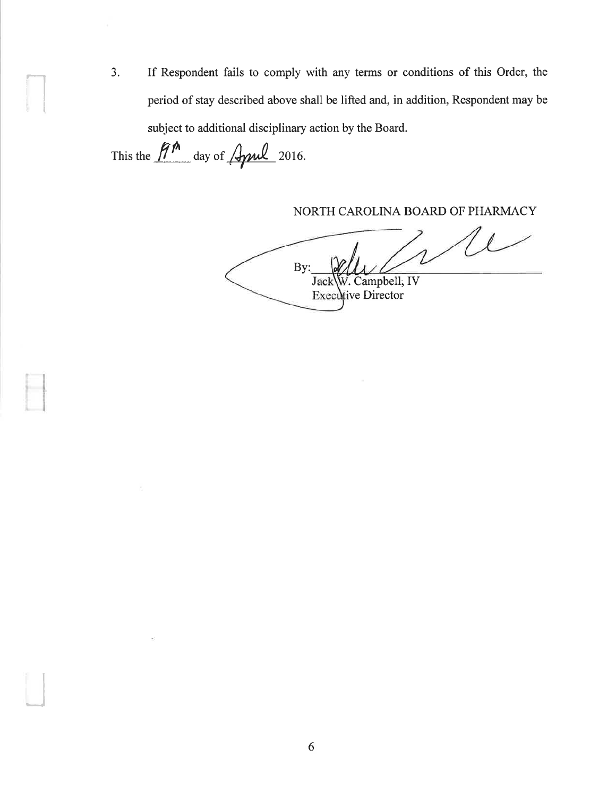3. If Respondent fails to comply with any terms or conditions of this Order, the period of stay described above shall be lifted and, in addition, Respondent may be subject to additional disciplinary action by the Board.

This the  $\widehat{H}^{\prime\prime}$  day of  $\cancel{\mathcal{A}}$  2016.

it

lt

I

NORTH CAROLINA BOARD OF PHARMACY

 $\ell$ By: . Campbell; IV **Jack** Executive Director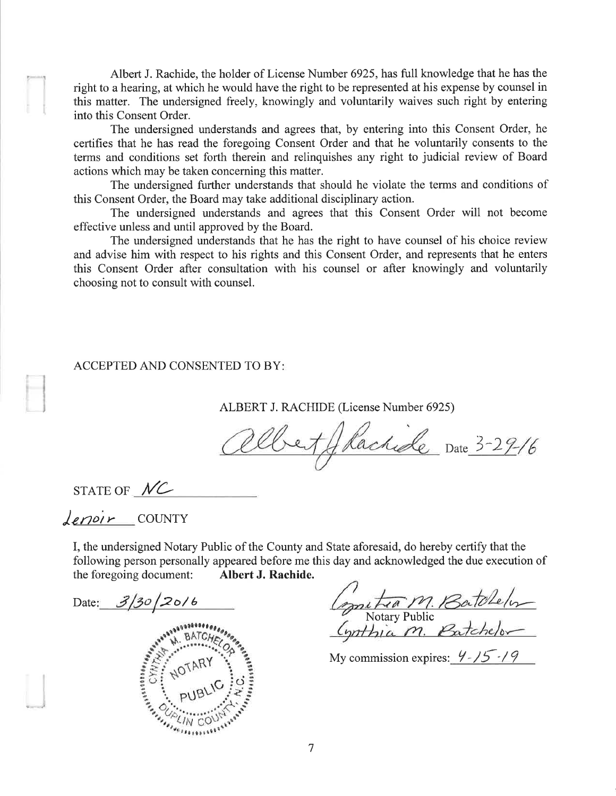Albert J. Rachide, the holder of License Number 6925, has full knowledge that he has the right to a hearing, at which he would have the right to be represented at his expense by counsel in this matter. The undersigned freely, knowingly and voluntarily waives such right by entering into this Consent Order.

The undersigned understands and agrees that, by entering into this Consent Order, he certifies that he has read the foregoing Consent Order and that he voluntarily consents to the terms and conditions set forth therein and relinquishes any right to judicial review of Board actions which may be taken concerning this matter.

The undersigned further understands that should he violate the terms and conditions of this Consent Order, the Board may take additional disciplinary action.

The undersigned understands and agrees that this Consent Order will not become effective unless and until approved by the Board.

The undersigned understands that he has the right to have counsel of his choice review and advise him with respect to his rights and this Consent Order, and represents that he enters this Consent Order after consultation with his counsel or after knowingly and voluntarily choosing not to consult with counsel.

#### ACCEPTED AND CONSENTED TO BY

ALBERT J. RACHIDE (License Number 6925)

et Glachide Date 3-29-16

STATE OF  $MC$ 

 $derDir$  COUNTY

I, the undersigned Notary Public of the County and State aforesaid, do hereby certify that the following person personally appeared before me this day and acknowledged the due execution of the foregoing document: Albert J. Rachide.

Date:  $3/30/20/6$ 0e 0t, s,. 

metra M. Batchelon<br>Notary Public<br>Synthia M. Batchelon

My commission expires:  $\frac{9-15-19}{ }$